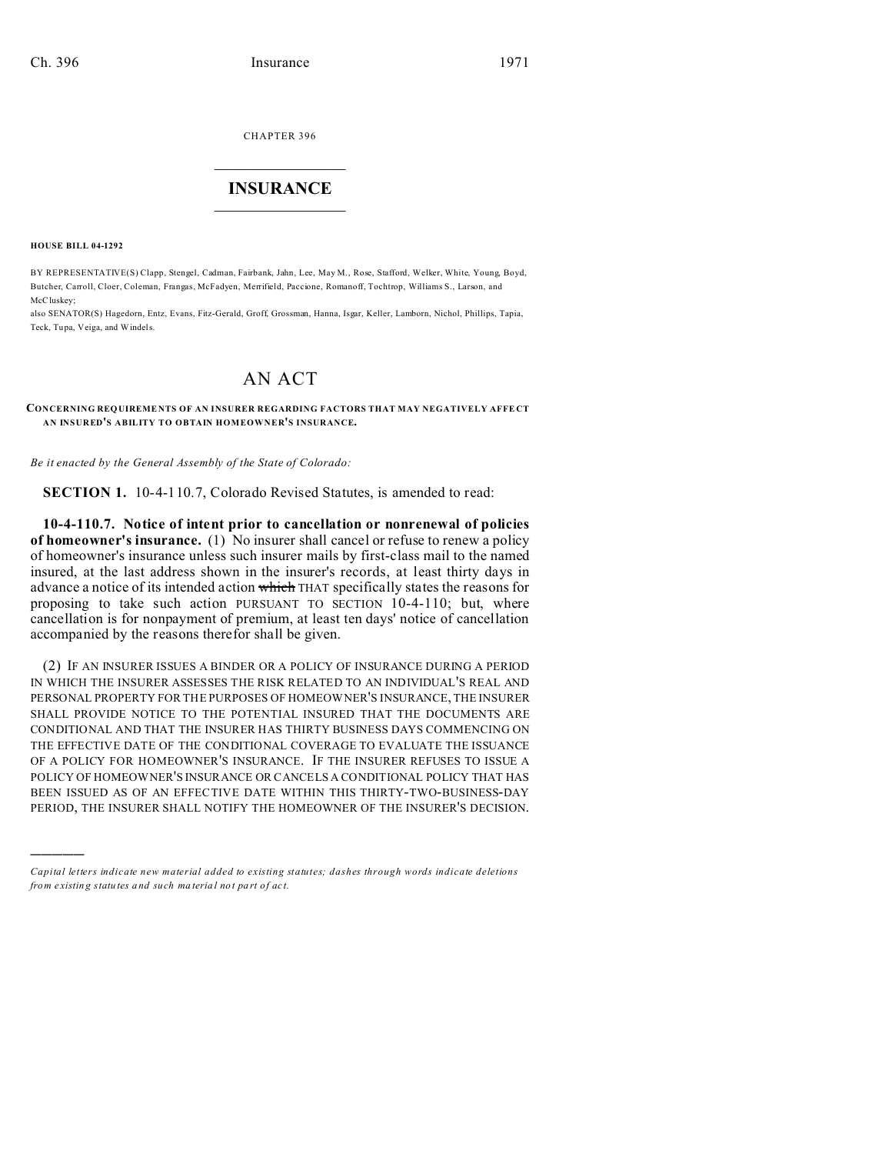CHAPTER 396  $\overline{\phantom{a}}$  , where  $\overline{\phantom{a}}$ 

## **INSURANCE**  $\_$   $\_$   $\_$   $\_$   $\_$   $\_$   $\_$   $\_$

**HOUSE BILL 04-1292**

)))))

BY REPRESENTATIVE(S) Clapp, Stengel, Cadman, Fairbank, Jahn, Lee, May M., Rose, Stafford, Welker, White, Young, Boyd, Butcher, Carroll, Cloer, Coleman, Frangas, McFadyen, Merrifield, Paccione, Romanoff, Tochtrop, Williams S., Larson, and McCluskey;

also SENATOR(S) Hagedorn, Entz, Evans, Fitz-Gerald, Groff, Grossman, Hanna, Isgar, Keller, Lamborn, Nichol, Phillips, Tapia, Teck, Tupa, Veiga, and Windels.

## AN ACT

**CONCERNING REQUIREME NTS OF AN INSURER REGARDING FACTORS THAT MAY NEGATIVELY AFFE CT AN INSURED'S ABILITY TO OBTAIN HOMEOWNER'S INSURANCE.**

*Be it enacted by the General Assembly of the State of Colorado:*

**SECTION 1.** 10-4-110.7, Colorado Revised Statutes, is amended to read:

**10-4-110.7. Notice of intent prior to cancellation or nonrenewal of policies of homeowner's insurance.** (1) No insurer shall cancel or refuse to renew a policy of homeowner's insurance unless such insurer mails by first-class mail to the named insured, at the last address shown in the insurer's records, at least thirty days in advance a notice of its intended action which THAT specifically states the reasons for proposing to take such action PURSUANT TO SECTION 10-4-110; but, where cancellation is for nonpayment of premium, at least ten days' notice of cancellation accompanied by the reasons therefor shall be given.

(2) IF AN INSURER ISSUES A BINDER OR A POLICY OF INSURANCE DURING A PERIOD IN WHICH THE INSURER ASSESSES THE RISK RELATED TO AN INDIVIDUAL'S REAL AND PERSONAL PROPERTY FOR THE PURPOSES OF HOMEOWNER'S INSURANCE, THE INSURER SHALL PROVIDE NOTICE TO THE POTENTIAL INSURED THAT THE DOCUMENTS ARE CONDITIONAL AND THAT THE INSURER HAS THIRTY BUSINESS DAYS COMMENCING ON THE EFFECTIVE DATE OF THE CONDITIONAL COVERAGE TO EVALUATE THE ISSUANCE OF A POLICY FOR HOMEOWNER'S INSURANCE. IF THE INSURER REFUSES TO ISSUE A POLICY OF HOMEOWNER'S INSURANCE OR CANCELS A CONDITIONAL POLICY THAT HAS BEEN ISSUED AS OF AN EFFECTIVE DATE WITHIN THIS THIRTY-TWO-BUSINESS-DAY PERIOD, THE INSURER SHALL NOTIFY THE HOMEOWNER OF THE INSURER'S DECISION.

*Capital letters indicate new material added to existing statutes; dashes through words indicate deletions from e xistin g statu tes a nd such ma teria l no t pa rt of ac t.*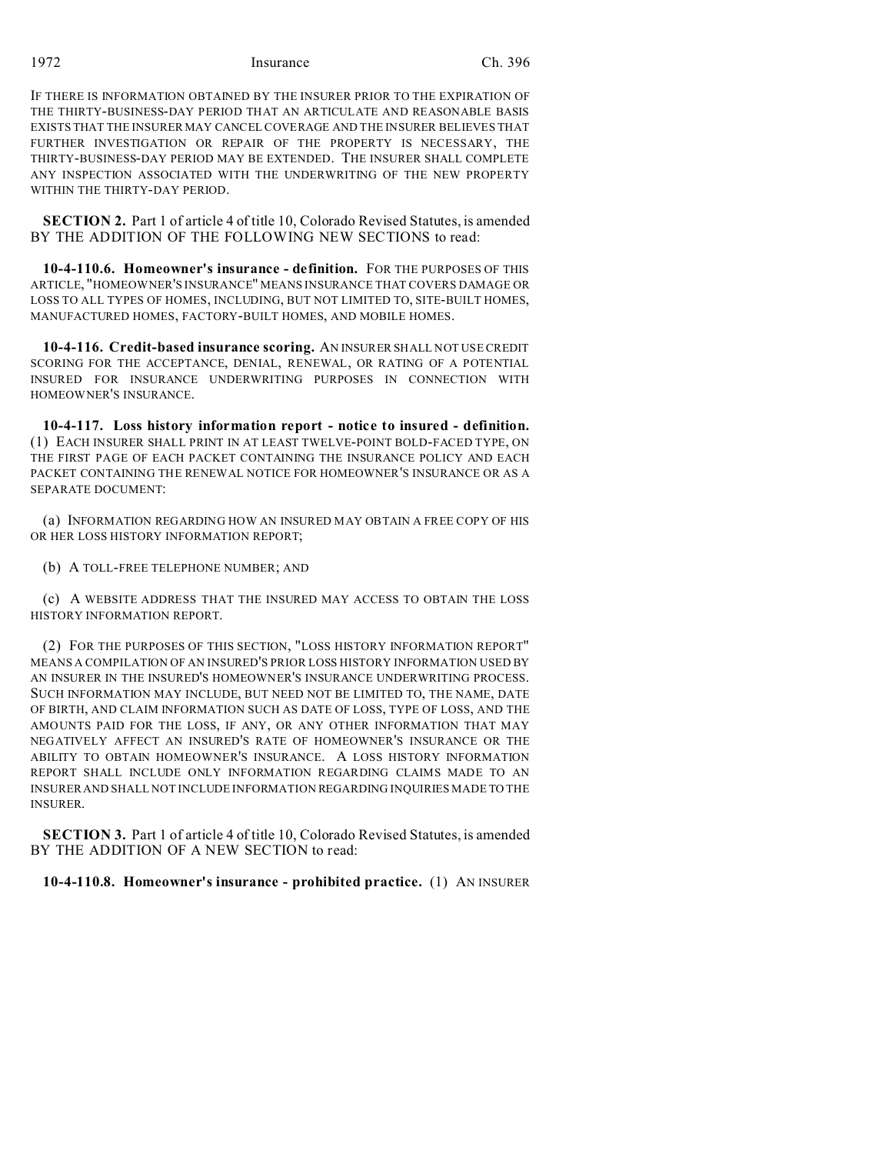1972 Insurance Ch. 396

IF THERE IS INFORMATION OBTAINED BY THE INSURER PRIOR TO THE EXPIRATION OF THE THIRTY-BUSINESS-DAY PERIOD THAT AN ARTICULATE AND REASONABLE BASIS EXISTS THAT THE INSURER MAY CANCEL COVERAGE AND THE INSURER BELIEVES THAT FURTHER INVESTIGATION OR REPAIR OF THE PROPERTY IS NECESSARY, THE THIRTY-BUSINESS-DAY PERIOD MAY BE EXTENDED. THE INSURER SHALL COMPLETE ANY INSPECTION ASSOCIATED WITH THE UNDERWRITING OF THE NEW PROPERTY WITHIN THE THIRTY-DAY PERIOD.

**SECTION 2.** Part 1 of article 4 of title 10, Colorado Revised Statutes, is amended BY THE ADDITION OF THE FOLLOWING NEW SECTIONS to read:

**10-4-110.6. Homeowner's insurance - definition.** FOR THE PURPOSES OF THIS ARTICLE, "HOMEOWNER'S INSURANCE" MEANS INSURANCE THAT COVERS DAMAGE OR LOSS TO ALL TYPES OF HOMES, INCLUDING, BUT NOT LIMITED TO, SITE-BUILT HOMES, MANUFACTURED HOMES, FACTORY-BUILT HOMES, AND MOBILE HOMES.

**10-4-116. Credit-based insurance scoring.** AN INSURER SHALL NOT USE CREDIT SCORING FOR THE ACCEPTANCE, DENIAL, RENEWAL, OR RATING OF A POTENTIAL INSURED FOR INSURANCE UNDERWRITING PURPOSES IN CONNECTION WITH HOMEOWNER'S INSURANCE.

**10-4-117. Loss history information report - notice to insured - definition.** (1) EACH INSURER SHALL PRINT IN AT LEAST TWELVE-POINT BOLD-FACED TYPE, ON THE FIRST PAGE OF EACH PACKET CONTAINING THE INSURANCE POLICY AND EACH PACKET CONTAINING THE RENEWAL NOTICE FOR HOMEOWNER'S INSURANCE OR AS A SEPARATE DOCUMENT:

(a) INFORMATION REGARDING HOW AN INSURED MAY OBTAIN A FREE COPY OF HIS OR HER LOSS HISTORY INFORMATION REPORT;

(b) A TOLL-FREE TELEPHONE NUMBER; AND

(c) A WEBSITE ADDRESS THAT THE INSURED MAY ACCESS TO OBTAIN THE LOSS HISTORY INFORMATION REPORT.

(2) FOR THE PURPOSES OF THIS SECTION, "LOSS HISTORY INFORMATION REPORT" MEANS A COMPILATION OF AN INSURED'S PRIOR LOSS HISTORY INFORMATION USED BY AN INSURER IN THE INSURED'S HOMEOWNER'S INSURANCE UNDERWRITING PROCESS. SUCH INFORMATION MAY INCLUDE, BUT NEED NOT BE LIMITED TO, THE NAME, DATE OF BIRTH, AND CLAIM INFORMATION SUCH AS DATE OF LOSS, TYPE OF LOSS, AND THE AMOUNTS PAID FOR THE LOSS, IF ANY, OR ANY OTHER INFORMATION THAT MAY NEGATIVELY AFFECT AN INSURED'S RATE OF HOMEOWNER'S INSURANCE OR THE ABILITY TO OBTAIN HOMEOWNER'S INSURANCE. A LOSS HISTORY INFORMATION REPORT SHALL INCLUDE ONLY INFORMATION REGARDING CLAIMS MADE TO AN INSURER AND SHALL NOT INCLUDE INFORMATION REGARDING INQUIRIES MADE TO THE INSURER.

**SECTION 3.** Part 1 of article 4 of title 10, Colorado Revised Statutes, is amended BY THE ADDITION OF A NEW SECTION to read:

## **10-4-110.8. Homeowner's insurance - prohibited practice.** (1) AN INSURER